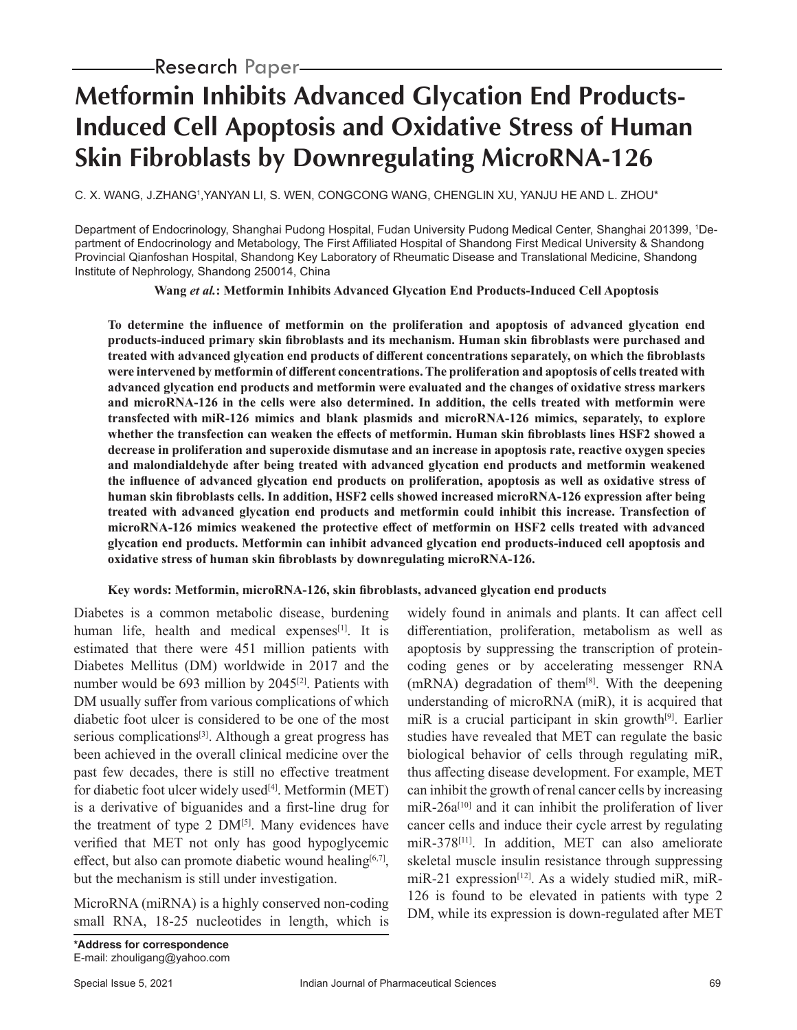# **Metformin Inhibits Advanced Glycation End Products-Induced Cell Apoptosis and Oxidative Stress of Human Skin Fibroblasts by Downregulating MicroRNA-126**

C. X. WANG, J.ZHANGʻ,YANYAN LI, S. WEN, CONGCONG WANG, CHENGLIN XU, YANJU HE AND L. ZHOU\*

Department of Endocrinology, Shanghai Pudong Hospital, Fudan University Pudong Medical Center, Shanghai 201399, 1 Department of Endocrinology and Metabology, The First Affiliated Hospital of Shandong First Medical University & Shandong Provincial Qianfoshan Hospital, Shandong Key Laboratory of Rheumatic Disease and Translational Medicine, Shandong Institute of Nephrology, Shandong 250014, China

**Wang** *et al.***: Metformin Inhibits Advanced Glycation End Products-Induced Cell Apoptosis**

**To determine the influence of metformin on the proliferation and apoptosis of advanced glycation end products-induced primary skin fibroblasts and its mechanism. Human skin fibroblasts were purchased and treated with advanced glycation end products of different concentrations separately, on which the fibroblasts were intervened by metformin of different concentrations. The proliferation and apoptosis of cells treated with advanced glycation end products and metformin were evaluated and the changes of oxidative stress markers and microRNA-126 in the cells were also determined. In addition, the cells treated with metformin were transfected with miR-126 mimics and blank plasmids and microRNA-126 mimics, separately, to explore whether the transfection can weaken the effects of metformin. Human skin fibroblasts lines HSF2 showed a decrease in proliferation and superoxide dismutase and an increase in apoptosis rate, reactive oxygen species and malondialdehyde after being treated with advanced glycation end products and metformin weakened the influence of advanced glycation end products on proliferation, apoptosis as well as oxidative stress of human skin fibroblasts cells. In addition, HSF2 cells showed increased microRNA-126 expression after being treated with advanced glycation end products and metformin could inhibit this increase. Transfection of microRNA-126 mimics weakened the protective effect of metformin on HSF2 cells treated with advanced glycation end products. Metformin can inhibit advanced glycation end products-induced cell apoptosis and oxidative stress of human skin fibroblasts by downregulating microRNA-126.**

### **Key words: Metformin, microRNA-126, skin fibroblasts, advanced glycation end products**

Diabetes is a common metabolic disease, burdening human life, health and medical expenses $[1]$ . It is estimated that there were 451 million patients with Diabetes Mellitus (DM) worldwide in 2017 and the number would be  $693$  million by  $2045^{[2]}$ . Patients with DM usually suffer from various complications of which diabetic foot ulcer is considered to be one of the most serious complications<sup>[3]</sup>. Although a great progress has been achieved in the overall clinical medicine over the past few decades, there is still no effective treatment for diabetic foot ulcer widely used $[4]$ . Metformin (MET) is a derivative of biguanides and a first-line drug for the treatment of type 2  $DM<sup>[5]</sup>$ . Many evidences have verified that MET not only has good hypoglycemic effect, but also can promote diabetic wound healing<sup>[6,7]</sup>, but the mechanism is still under investigation.

MicroRNA (miRNA) is a highly conserved non-coding small RNA, 18-25 nucleotides in length, which is

apoptosis by suppressing the transcription of proteincoding genes or by accelerating messenger RNA  $(mRNA)$  degradation of them<sup>[8]</sup>. With the deepening understanding of microRNA (miR), it is acquired that miR is a crucial participant in skin growth<sup>[9]</sup>. Earlier studies have revealed that MET can regulate the basic biological behavior of cells through regulating miR, thus affecting disease development. For example, MET can inhibit the growth of renal cancer cells by increasing  $miR-26a^{[10]}$  and it can inhibit the proliferation of liver cancer cells and induce their cycle arrest by regulating miR-378[11]. In addition, MET can also ameliorate skeletal muscle insulin resistance through suppressing miR-21 expression<sup>[12]</sup>. As a widely studied miR, miR-126 is found to be elevated in patients with type 2 DM, while its expression is down-regulated after MET

widely found in animals and plants. It can affect cell differentiation, proliferation, metabolism as well as

*\*Address for correspondence* E-mail: zhouligang@yahoo.com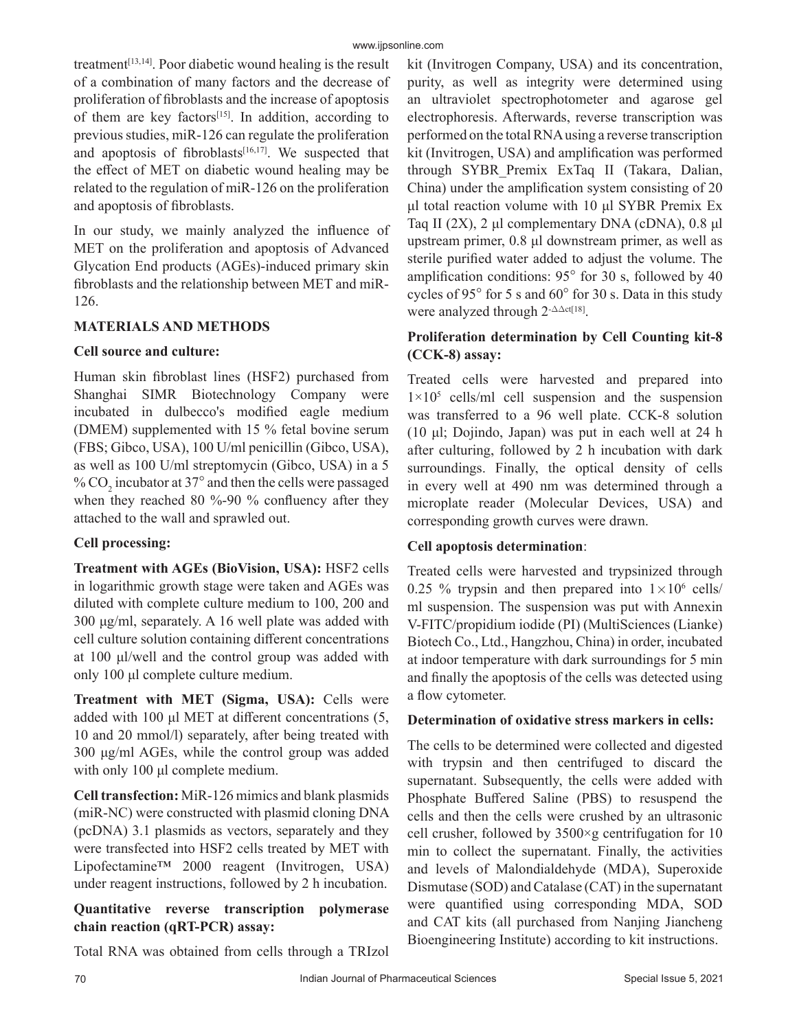treatment $[13,14]$ . Poor diabetic wound healing is the result of a combination of many factors and the decrease of proliferation of fibroblasts and the increase of apoptosis of them are key factors<sup>[15]</sup>. In addition, according to previous studies, miR-126 can regulate the proliferation and apoptosis of fibroblasts $[16,17]$ . We suspected that the effect of MET on diabetic wound healing may be related to the regulation of miR-126 on the proliferation and apoptosis of fibroblasts.

In our study, we mainly analyzed the influence of MET on the proliferation and apoptosis of Advanced Glycation End products (AGEs)-induced primary skin fibroblasts and the relationship between MET and miR-126.

### **MATERIALS AND METHODS**

### **Cell source and culture:**

Human skin fibroblast lines (HSF2) purchased from Shanghai SIMR Biotechnology Company were incubated in dulbecco's modified eagle medium (DMEM) supplemented with 15 % fetal bovine serum (FBS; Gibco, USA), 100 U/ml penicillin (Gibco, USA), as well as 100 U/ml streptomycin (Gibco, USA) in a 5 %  $\mathrm{CO}_2$  incubator at 37 $^\circ$  and then the cells were passaged when they reached 80 %-90 % confluency after they attached to the wall and sprawled out.

# **Cell processing:**

**Treatment with AGEs (BioVision, USA):** HSF2 cells in logarithmic growth stage were taken and AGEs was diluted with complete culture medium to 100, 200 and 300 μg/ml, separately. A 16 well plate was added with cell culture solution containing different concentrations at 100 μl/well and the control group was added with only 100 μl complete culture medium.

**Treatment with MET (Sigma, USA):** Cells were added with 100 μl MET at different concentrations (5, 10 and 20 mmol/l) separately, after being treated with 300 μg/ml AGEs, while the control group was added with only 100 μl complete medium.

**Cell transfection:** MiR-126 mimics and blank plasmids (miR-NC) were constructed with plasmid cloning DNA (pcDNA) 3.1 plasmids as vectors, separately and they were transfected into HSF2 cells treated by MET with Lipofectamine™ 2000 reagent (Invitrogen, USA) under reagent instructions, followed by 2 h incubation.

# **Quantitative reverse transcription polymerase chain reaction (qRT-PCR) assay:**

Total RNA was obtained from cells through a TRIzol

kit (Invitrogen Company, USA) and its concentration, purity, as well as integrity were determined using an ultraviolet spectrophotometer and agarose gel electrophoresis. Afterwards, reverse transcription was performed on the total RNA using a reverse transcription kit (Invitrogen, USA) and amplification was performed through SYBR\_Premix ExTaq II (Takara, Dalian, China) under the amplification system consisting of 20 μl total reaction volume with 10 μl SYBR Premix Ex Taq II (2X), 2 μl complementary DNA (cDNA), 0.8 μl upstream primer, 0.8 μl downstream primer, as well as sterile purified water added to adjust the volume. The amplification conditions:  $95^{\circ}$  for 30 s, followed by 40 cycles of 95 $\degree$  for 5 s and 60 $\degree$  for 30 s. Data in this study were analyzed through  $2$ - $\Delta \Delta ct[18]$ .

# **Proliferation determination by Cell Counting kit-8 (CCK-8) assay:**

Treated cells were harvested and prepared into  $1 \times 10^5$  cells/ml cell suspension and the suspension was transferred to a 96 well plate. CCK-8 solution (10 μl; Dojindo, Japan) was put in each well at 24 h after culturing, followed by 2 h incubation with dark surroundings. Finally, the optical density of cells in every well at 490 nm was determined through a microplate reader (Molecular Devices, USA) and corresponding growth curves were drawn.

# **Cell apoptosis determination**:

Treated cells were harvested and trypsinized through 0.25 % trypsin and then prepared into  $1 \times 10^6$  cells/ ml suspension. The suspension was put with Annexin V-FITC/propidium iodide (PI) (MultiSciences (Lianke) Biotech Co., Ltd., Hangzhou, China) in order, incubated at indoor temperature with dark surroundings for 5 min and finally the apoptosis of the cells was detected using a flow cytometer.

### **Determination of oxidative stress markers in cells:**

The cells to be determined were collected and digested with trypsin and then centrifuged to discard the supernatant. Subsequently, the cells were added with Phosphate Buffered Saline (PBS) to resuspend the cells and then the cells were crushed by an ultrasonic cell crusher, followed by 3500×g centrifugation for 10 min to collect the supernatant. Finally, the activities and levels of Malondialdehyde (MDA), Superoxide Dismutase (SOD) and Catalase (CAT) in the supernatant were quantified using corresponding MDA, SOD and CAT kits (all purchased from Nanjing Jiancheng Bioengineering Institute) according to kit instructions.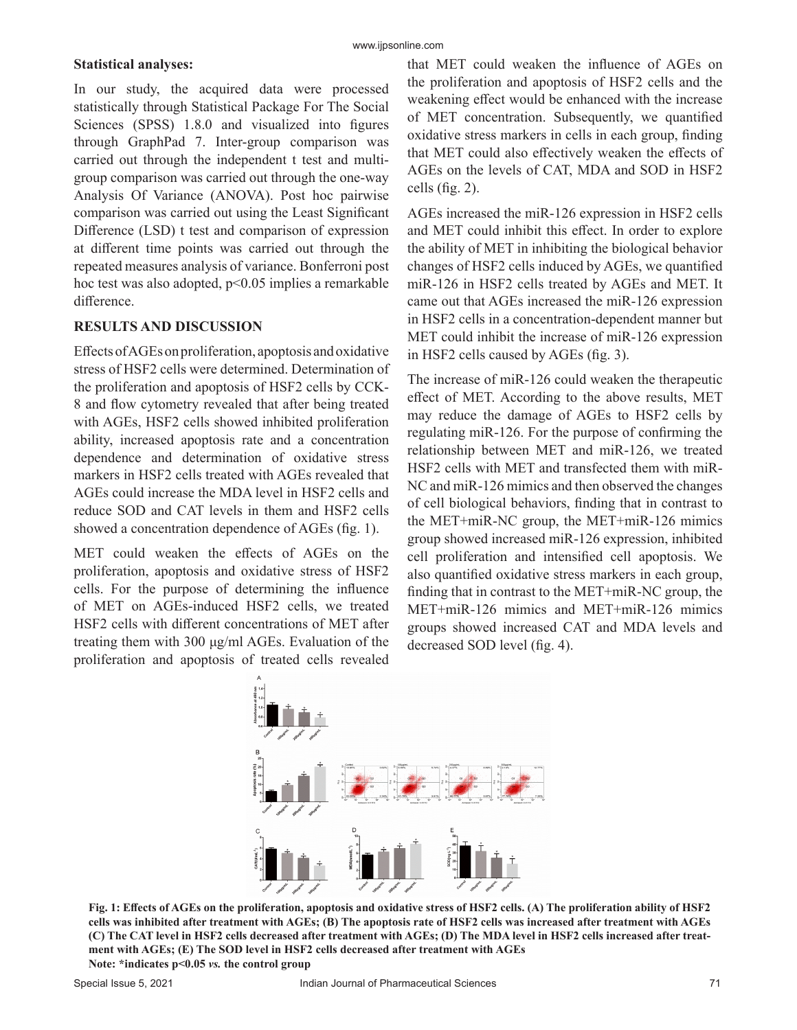#### www.ijpsonline.com

#### **Statistical analyses:**

In our study, the acquired data were processed statistically through Statistical Package For The Social Sciences (SPSS) 1.8.0 and visualized into figures through GraphPad 7. Inter-group comparison was carried out through the independent t test and multigroup comparison was carried out through the one-way Analysis Of Variance (ANOVA). Post hoc pairwise comparison was carried out using the Least Significant Difference (LSD) t test and comparison of expression at different time points was carried out through the repeated measures analysis of variance. Bonferroni post hoc test was also adopted,  $p<0.05$  implies a remarkable difference.

#### **RESULTS AND DISCUSSION**

Effects of AGEs on proliferation, apoptosis and oxidative stress of HSF2 cells were determined. Determination of the proliferation and apoptosis of HSF2 cells by CCK-8 and flow cytometry revealed that after being treated with AGEs, HSF2 cells showed inhibited proliferation ability, increased apoptosis rate and a concentration dependence and determination of oxidative stress markers in HSF2 cells treated with AGEs revealed that AGEs could increase the MDA level in HSF2 cells and reduce SOD and CAT levels in them and HSF2 cells showed a concentration dependence of AGEs (fig. 1).

MET could weaken the effects of AGEs on the proliferation, apoptosis and oxidative stress of HSF2 cells. For the purpose of determining the influence of MET on AGEs-induced HSF2 cells, we treated HSF2 cells with different concentrations of MET after treating them with 300 μg/ml AGEs. Evaluation of the proliferation and apoptosis of treated cells revealed that MET could weaken the influence of AGEs on the proliferation and apoptosis of HSF2 cells and the weakening effect would be enhanced with the increase of MET concentration. Subsequently, we quantified oxidative stress markers in cells in each group, finding that MET could also effectively weaken the effects of AGEs on the levels of CAT, MDA and SOD in HSF2 cells (fig. 2).

AGEs increased the miR-126 expression in HSF2 cells and MET could inhibit this effect. In order to explore the ability of MET in inhibiting the biological behavior changes of HSF2 cells induced by AGEs, we quantified miR-126 in HSF2 cells treated by AGEs and MET. It came out that AGEs increased the miR-126 expression in HSF2 cells in a concentration-dependent manner but MET could inhibit the increase of miR-126 expression in HSF2 cells caused by AGEs (fig. 3).

The increase of miR-126 could weaken the therapeutic effect of MET. According to the above results, MET may reduce the damage of AGEs to HSF2 cells by regulating miR-126. For the purpose of confirming the relationship between MET and miR-126, we treated HSF2 cells with MET and transfected them with miR-NC and miR-126 mimics and then observed the changes of cell biological behaviors, finding that in contrast to the MET+miR-NC group, the MET+miR-126 mimics group showed increased miR-126 expression, inhibited cell proliferation and intensified cell apoptosis. We also quantified oxidative stress markers in each group, finding that in contrast to the MET+miR-NC group, the MET+miR-126 mimics and MET+miR-126 mimics groups showed increased CAT and MDA levels and decreased SOD level (fig. 4).



**Fig. 1: Effects of AGEs on the proliferation, apoptosis and oxidative stress of HSF2 cells. (A) The proliferation ability of HSF2 cells was inhibited after treatment with AGEs; (B) The apoptosis rate of HSF2 cells was increased after treatment with AGEs (C) The CAT level in HSF2 cells decreased after treatment with AGEs; (D) The MDA level in HSF2 cells increased after treatment with AGEs; (E) The SOD level in HSF2 cells decreased after treatment with AGEs Note: \*indicates p<0.05** *vs.* **the control group**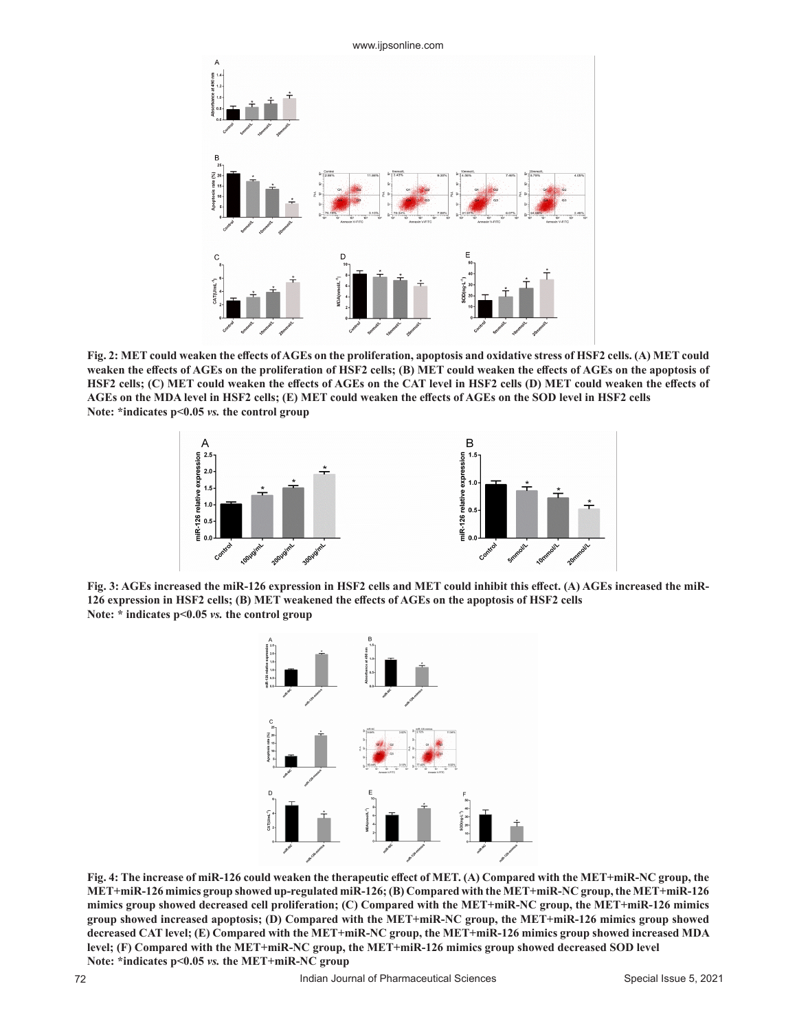

**Fig. 2: MET could weaken the effects of AGEs on the proliferation, apoptosis and oxidative stress of HSF2 cells. (A) MET could weaken the effects of AGEs on the proliferation of HSF2 cells; (B) MET could weaken the effects of AGEs on the apoptosis of HSF2 cells; (C) MET could weaken the effects of AGEs on the CAT level in HSF2 cells (D) MET could weaken the effects of AGEs on the MDA level in HSF2 cells; (E) MET could weaken the effects of AGEs on the SOD level in HSF2 cells Note: \*indicates p<0.05** *vs.* **the control group**



**Fig. 3: AGEs increased the miR-126 expression in HSF2 cells and MET could inhibit this effect. (A) AGEs increased the miR-126 expression in HSF2 cells; (B) MET weakened the effects of AGEs on the apoptosis of HSF2 cells Note: \* indicates p<0.05** *vs.* **the control group**



**Fig. 4: The increase of miR-126 could weaken the therapeutic effect of MET. (A) Compared with the MET+miR-NC group, the MET+miR-126 mimics group showed up-regulated miR-126; (B) Compared with the MET+miR-NC group, the MET+miR-126 mimics group showed decreased cell proliferation; (C) Compared with the MET+miR-NC group, the MET+miR-126 mimics group showed increased apoptosis; (D) Compared with the MET+miR-NC group, the MET+miR-126 mimics group showed decreased CAT level; (E) Compared with the MET+miR-NC group, the MET+miR-126 mimics group showed increased MDA level; (F) Compared with the MET+miR-NC group, the MET+miR-126 mimics group showed decreased SOD level Note: \*indicates p<0.05** *vs.* **the MET+miR-NC group**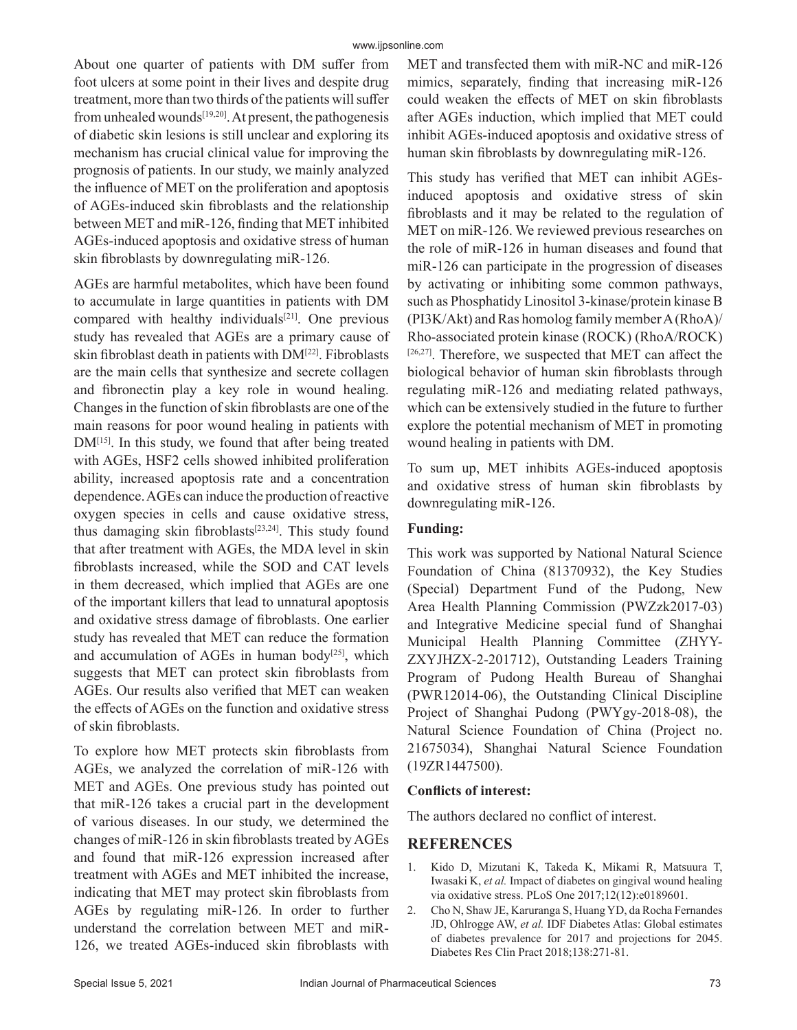About one quarter of patients with DM suffer from foot ulcers at some point in their lives and despite drug treatment, more than two thirds of the patients will suffer from unhealed wounds<sup>[19,20]</sup>. At present, the pathogenesis of diabetic skin lesions is still unclear and exploring its mechanism has crucial clinical value for improving the prognosis of patients. In our study, we mainly analyzed the influence of MET on the proliferation and apoptosis of AGEs-induced skin fibroblasts and the relationship between MET and miR-126, finding that MET inhibited AGEs-induced apoptosis and oxidative stress of human skin fibroblasts by downregulating miR-126.

AGEs are harmful metabolites, which have been found to accumulate in large quantities in patients with DM compared with healthy individuals<sup>[21]</sup>. One previous study has revealed that AGEs are a primary cause of skin fibroblast death in patients with DM[22]. Fibroblasts are the main cells that synthesize and secrete collagen and fibronectin play a key role in wound healing. Changes in the function of skin fibroblasts are one of the main reasons for poor wound healing in patients with DM<sup>[15]</sup>. In this study, we found that after being treated with AGEs, HSF2 cells showed inhibited proliferation ability, increased apoptosis rate and a concentration dependence. AGEs can induce the production of reactive oxygen species in cells and cause oxidative stress, thus damaging skin fibroblasts<sup>[23,24]</sup>. This study found that after treatment with AGEs, the MDA level in skin fibroblasts increased, while the SOD and CAT levels in them decreased, which implied that AGEs are one of the important killers that lead to unnatural apoptosis and oxidative stress damage of fibroblasts. One earlier study has revealed that MET can reduce the formation and accumulation of AGEs in human body<sup>[25]</sup>, which suggests that MET can protect skin fibroblasts from AGEs. Our results also verified that MET can weaken the effects of AGEs on the function and oxidative stress of skin fibroblasts.

To explore how MET protects skin fibroblasts from AGEs, we analyzed the correlation of miR-126 with MET and AGEs. One previous study has pointed out that miR-126 takes a crucial part in the development of various diseases. In our study, we determined the changes of miR-126 in skin fibroblasts treated by AGEs and found that miR-126 expression increased after treatment with AGEs and MET inhibited the increase, indicating that MET may protect skin fibroblasts from AGEs by regulating miR-126. In order to further understand the correlation between MET and miR-126, we treated AGEs-induced skin fibroblasts with MET and transfected them with miR-NC and miR-126 mimics, separately, finding that increasing miR-126 could weaken the effects of MET on skin fibroblasts after AGEs induction, which implied that MET could inhibit AGEs-induced apoptosis and oxidative stress of human skin fibroblasts by downregulating miR-126.

This study has verified that MET can inhibit AGEsinduced apoptosis and oxidative stress of skin fibroblasts and it may be related to the regulation of MET on miR-126. We reviewed previous researches on the role of miR-126 in human diseases and found that miR-126 can participate in the progression of diseases by activating or inhibiting some common pathways, such as Phosphatidy Linositol 3-kinase/protein kinase B (PI3K/Akt) and Ras homolog family member A (RhoA)/ Rho-associated protein kinase (ROCK) (RhoA/ROCK)  $[26,27]$ . Therefore, we suspected that MET can affect the biological behavior of human skin fibroblasts through regulating miR-126 and mediating related pathways, which can be extensively studied in the future to further explore the potential mechanism of MET in promoting wound healing in patients with DM.

To sum up, MET inhibits AGEs-induced apoptosis and oxidative stress of human skin fibroblasts by downregulating miR-126.

# **Funding:**

This work was supported by National Natural Science Foundation of China (81370932), the Key Studies (Special) Department Fund of the Pudong, New Area Health Planning Commission (PWZzk2017-03) and Integrative Medicine special fund of Shanghai Municipal Health Planning Committee (ZHYY-ZXYJHZX-2-201712), Outstanding Leaders Training Program of Pudong Health Bureau of Shanghai (PWR12014-06), the Outstanding Clinical Discipline Project of Shanghai Pudong (PWYgy-2018-08), the Natural Science Foundation of China (Project no. 21675034), Shanghai Natural Science Foundation (19ZR1447500).

### **Conflicts of interest:**

The authors declared no conflict of interest.

# **REFERENCES**

- 1. Kido D, Mizutani K, Takeda K, Mikami R, Matsuura T, Iwasaki K, *et al.* Impact of diabetes on gingival wound healing via oxidative stress. PLoS One 2017;12(12):e0189601.
- 2. Cho N, Shaw JE, Karuranga S, Huang YD, da Rocha Fernandes JD, Ohlrogge AW, *et al.* IDF Diabetes Atlas: Global estimates of diabetes prevalence for 2017 and projections for 2045. Diabetes Res Clin Pract 2018;138:271-81.